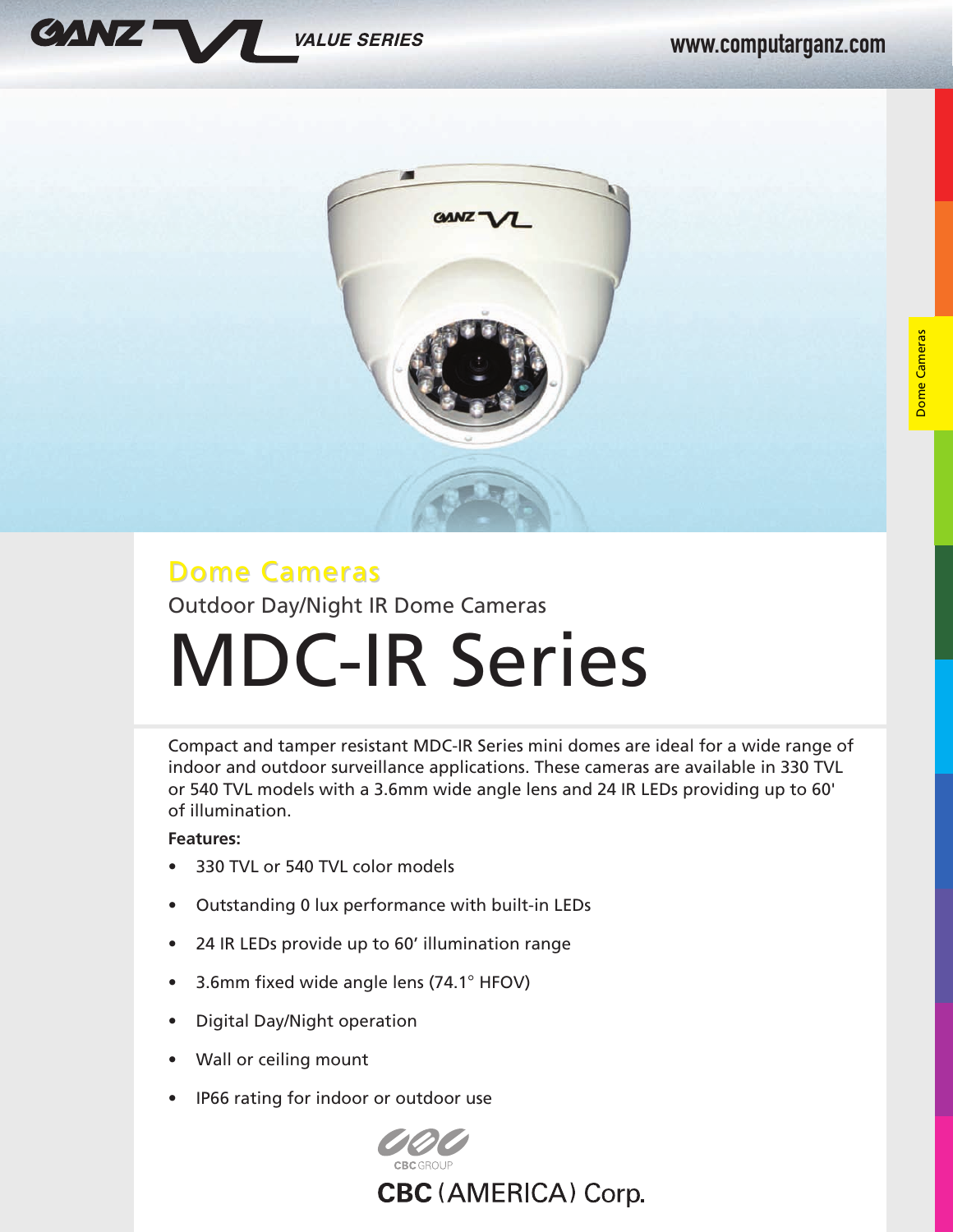



# Dome Cameras Outdoor Day/Night IR Dome Cameras MDC-IR Series

Compact and tamper resistant MDC-IR Series mini domes are ideal for a wide range of indoor and outdoor surveillance applications. These cameras are available in 330 TVL or 540 TVL models with a 3.6mm wide angle lens and 24 IR LEDs providing up to 60' of illumination.

### **Features:**

- 330 TVL or 540 TVL color models
- Outstanding 0 lux performance with built-in LEDs
- 24 IR LEDs provide up to 60' illumination range
- 3.6mm fixed wide angle lens (74.1° HFOV)
- Digital Day/Night operation
- Wall or ceiling mount
- IP66 rating for indoor or outdoor use